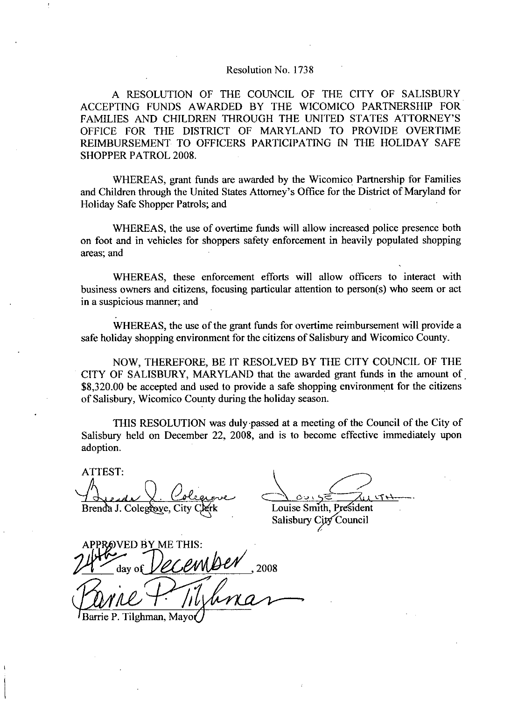## Resolution No. 1738

A RESOLUTION OF THE COUNCIL OF THE CITY OF SALISBURY ACCEPTING FUNDS AWARDED BY THE WICOMICO PARTNERSHIP FOR FAMILIES AND CHILDREN THROUGH THE UNITED STATES OFFICE FOR THE DISTRICT OF MARYLAND TO PROVIDE OVERTIME SALISBURY<br>
ERSHIP FOR<br>
ATTORNEY'S<br>
S OVERTIME<br>
ELIDAY SAFE REIMBURSEMENT TO OFFICERS PARTICIPATING IN THE HOLIDAY SAFE SHOPPER PATROL 2008

WHEREAS, grant funds are awarded by the Wicomico Partnership for Families OFFICE FOR THE DISTRICT OF MARY<br>REIMBURSEMENT TO OFFICERS PARTICI<br>SHOPPER PATROL 2008.<br>WHEREAS, grant funds are awarded by<br>and Children through the United States Attorney's<br>Holiday Safe Shopper Patrols; and and Children through the United States Attorney's Office for the District of Maryland for Holiday Safe Shopper Patrols; and

WHEREAS, the use of overtime funds will allow increased police presence both areas: and

on foot and in vehicles for shoppers safety enforcement in heavily populated shopping<br>areas; and<br>WHEREAS, these enforcement efforts will allow officers to interact with<br>business owners and citizens, focusing particular att WHEREAS, these enforcement efforts will allow officers to interact with business owners and citizens, focusing particular attention to person(s) who seem or act in a suspicious manner; and

WHEREAS, the use of the grant funds for overtime reimbursement will provide a safe holiday shopping environment for the citizens of Salisbury and Wicomico County.

NOW, THEREFORE, BE IT RESOLVED BY THE CITY COUNCIL OF THE CITY OF SALISBURY, MARYLAND that the awarded grant funds in the amount of \$8,320.00 be accepted and used to provide a safe shopping environment for the citizens of Salisbury, Wicomico County during the holiday season.

THIS RESOLUTION was duly passed at ameeting of the Council of the City of Salisbury held on December 22, 2008, and is to become effective immediately upon adoption

ATTEST uove<br>Jerk

Brenda J. Colegrove, City Clerk Louise Smith, President City Council Salisbury

Brenda J. Co ED BY ME THIS: of SALISBURY, MARYLAND that<br>00 be accepted and used to provide a<br>bury, Wicomico County during the hol<br>THIS RESOLUTION was duly passed<br>y held on December 22, 2008, and<br>1.<br>T:<br>day of *CCCUMBEL*, 2008<br>day of *CCCUMBEL*, 2008<br>2 n.<br>
T.<br>
J. Colegrove, City C<br>
NED BY ME THIS<br>
day of *DECCU*<br>
P. Tilghman, Mayo(

Barrie P. Tilghman, Mayo